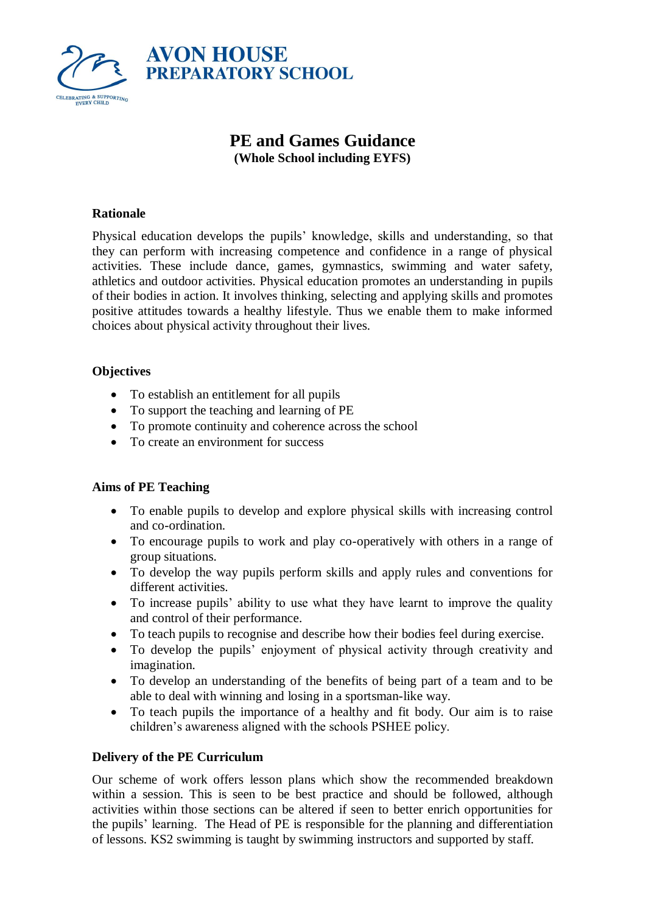

# **PE and Games Guidance (Whole School including EYFS)**

## **Rationale**

Physical education develops the pupils' knowledge, skills and understanding, so that they can perform with increasing competence and confidence in a range of physical activities. These include dance, games, gymnastics, swimming and water safety, athletics and outdoor activities. Physical education promotes an understanding in pupils of their bodies in action. It involves thinking, selecting and applying skills and promotes positive attitudes towards a healthy lifestyle. Thus we enable them to make informed choices about physical activity throughout their lives.

## **Objectives**

- To establish an entitlement for all pupils
- To support the teaching and learning of PE
- To promote continuity and coherence across the school
- To create an environment for success

# **Aims of PE Teaching**

- To enable pupils to develop and explore physical skills with increasing control and co-ordination.
- To encourage pupils to work and play co-operatively with others in a range of group situations.
- To develop the way pupils perform skills and apply rules and conventions for different activities.
- To increase pupils' ability to use what they have learnt to improve the quality and control of their performance.
- To teach pupils to recognise and describe how their bodies feel during exercise.
- To develop the pupils' enjoyment of physical activity through creativity and imagination.
- To develop an understanding of the benefits of being part of a team and to be able to deal with winning and losing in a sportsman-like way.
- To teach pupils the importance of a healthy and fit body. Our aim is to raise children's awareness aligned with the schools PSHEE policy.

# **Delivery of the PE Curriculum**

Our scheme of work offers lesson plans which show the recommended breakdown within a session. This is seen to be best practice and should be followed, although activities within those sections can be altered if seen to better enrich opportunities for the pupils' learning. The Head of PE is responsible for the planning and differentiation of lessons. KS2 swimming is taught by swimming instructors and supported by staff.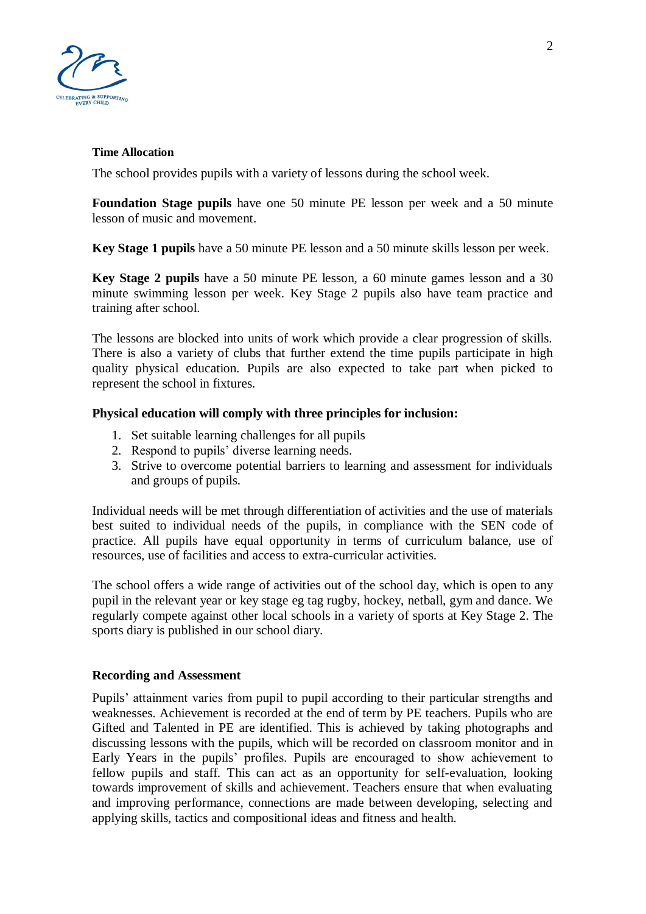

#### **Time Allocation**

The school provides pupils with a variety of lessons during the school week.

**Foundation Stage pupils** have one 50 minute PE lesson per week and a 50 minute lesson of music and movement.

**Key Stage 1 pupils** have a 50 minute PE lesson and a 50 minute skills lesson per week.

**Key Stage 2 pupils** have a 50 minute PE lesson, a 60 minute games lesson and a 30 minute swimming lesson per week. Key Stage 2 pupils also have team practice and training after school.

The lessons are blocked into units of work which provide a clear progression of skills. There is also a variety of clubs that further extend the time pupils participate in high quality physical education. Pupils are also expected to take part when picked to represent the school in fixtures.

#### **Physical education will comply with three principles for inclusion:**

- 1. Set suitable learning challenges for all pupils
- 2. Respond to pupils' diverse learning needs.
- 3. Strive to overcome potential barriers to learning and assessment for individuals and groups of pupils.

Individual needs will be met through differentiation of activities and the use of materials best suited to individual needs of the pupils, in compliance with the SEN code of practice. All pupils have equal opportunity in terms of curriculum balance, use of resources, use of facilities and access to extra-curricular activities.

The school offers a wide range of activities out of the school day, which is open to any pupil in the relevant year or key stage eg tag rugby, hockey, netball, gym and dance. We regularly compete against other local schools in a variety of sports at Key Stage 2. The sports diary is published in our school diary.

#### **Recording and Assessment**

Pupils' attainment varies from pupil to pupil according to their particular strengths and weaknesses. Achievement is recorded at the end of term by PE teachers. Pupils who are Gifted and Talented in PE are identified. This is achieved by taking photographs and discussing lessons with the pupils, which will be recorded on classroom monitor and in Early Years in the pupils' profiles. Pupils are encouraged to show achievement to fellow pupils and staff. This can act as an opportunity for self-evaluation, looking towards improvement of skills and achievement. Teachers ensure that when evaluating and improving performance, connections are made between developing, selecting and applying skills, tactics and compositional ideas and fitness and health.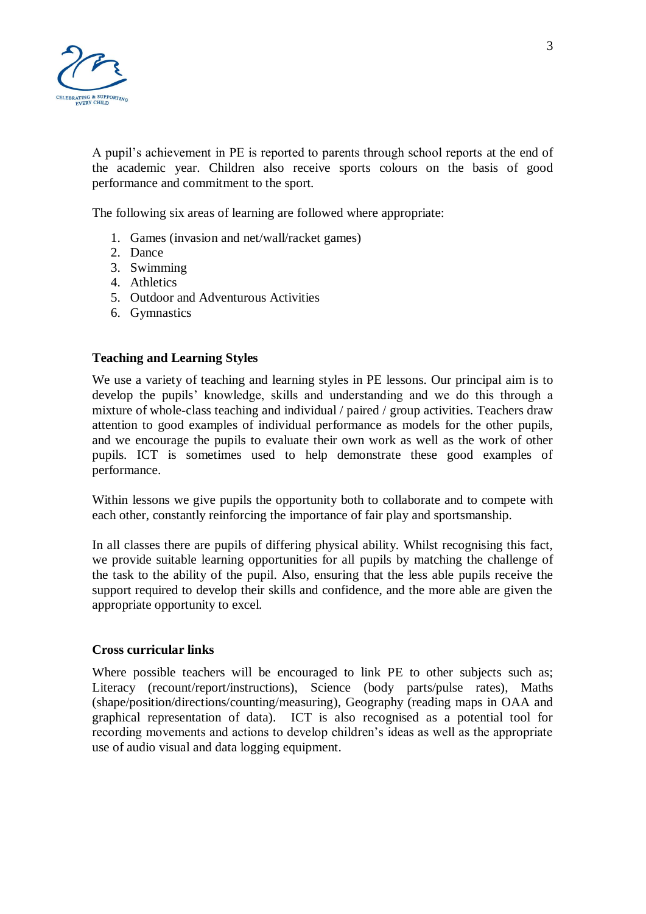

A pupil's achievement in PE is reported to parents through school reports at the end of the academic year. Children also receive sports colours on the basis of good performance and commitment to the sport.

The following six areas of learning are followed where appropriate:

- 1. Games (invasion and net/wall/racket games)
- 2. Dance
- 3. Swimming
- 4. Athletics
- 5. Outdoor and Adventurous Activities
- 6. Gymnastics

#### **Teaching and Learning Styles**

We use a variety of teaching and learning styles in PE lessons. Our principal aim is to develop the pupils' knowledge, skills and understanding and we do this through a mixture of whole-class teaching and individual / paired / group activities. Teachers draw attention to good examples of individual performance as models for the other pupils, and we encourage the pupils to evaluate their own work as well as the work of other pupils. ICT is sometimes used to help demonstrate these good examples of performance.

Within lessons we give pupils the opportunity both to collaborate and to compete with each other, constantly reinforcing the importance of fair play and sportsmanship.

In all classes there are pupils of differing physical ability. Whilst recognising this fact, we provide suitable learning opportunities for all pupils by matching the challenge of the task to the ability of the pupil. Also, ensuring that the less able pupils receive the support required to develop their skills and confidence, and the more able are given the appropriate opportunity to excel.

#### **Cross curricular links**

Where possible teachers will be encouraged to link PE to other subjects such as: Literacy (recount/report/instructions), Science (body parts/pulse rates), Maths (shape/position/directions/counting/measuring), Geography (reading maps in OAA and graphical representation of data). ICT is also recognised as a potential tool for recording movements and actions to develop children's ideas as well as the appropriate use of audio visual and data logging equipment.